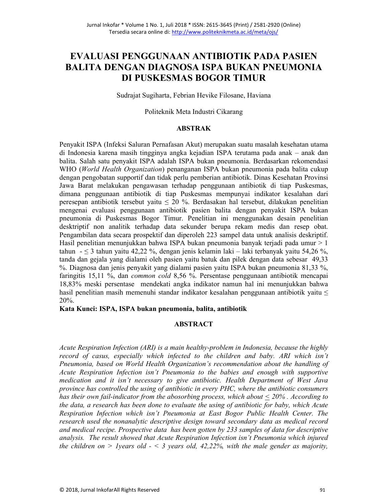# EVALUASI PENGGUNAAN ANTIBIOTIK PADA PASIEN **BALITA DENGAN DIAGNOSA ISPA BUKAN PNEUMONIA** DI PUSKESMAS BOGOR TIMUR

Sudrajat Sugiharta, Febrian Hevike Filosane, Haviana

Politeknik Meta Industri Cikarang

# **ABSTRAK**

Penyakit ISPA (Infeksi Saluran Pernafasan Akut) merupakan suatu masalah kesehatan utama di Indonesia karena masih tingginya angka kejadian ISPA terutama pada anak - anak dan balita. Salah satu penyakit ISPA adalah ISPA bukan pneumonia. Berdasarkan rekomendasi WHO (World Health Organization) penanganan ISPA bukan pneumonia pada balita cukup dengan pengobatan supportif dan tidak perlu pemberian antibiotik. Dinas Kesehatan Provinsi Jawa Barat melakukan pengawasan terhadap penggunaan antibiotik di tiap Puskesmas, dimana penggunaan antibiotik di tiap Puskesmas mempunyai indikator kesalahan dari peresepan antibiotik tersebut yaitu  $\leq 20$  %. Berdasakan hal tersebut, dilakukan penelitian mengenai evaluasi penggunaan antibiotik pasien balita dengan penyakit ISPA bukan pneumonia di Puskesmas Bogor Timur. Penelitian ini menggunakan desain penelitian desktriptif non analitik terhadap data sekunder berupa rekam medis dan resep obat. Pengambilan data secara prospektif dan diperoleh 223 sampel data untuk analisis deskriptif. Hasil penelitian menunjukkan bahwa ISPA bukan pneumonia banyak terjadi pada umur > 1 tahun  $- \leq 3$  tahun yaitu 42,22 %, dengan jenis kelamin laki - laki terbanyak yaitu 54,26 %, tanda dan gejala yang dialami oleh pasien yaitu batuk dan pilek dengan data sebesar 49,33 %. Diagnosa dan jenis penyakit yang dialami pasien yaitu ISPA bukan pneumonia 81,33 %, faringitis 15,11 %, dan *common cold* 8,56 %. Persentase penggunaan antibiotik mencapai 18,83% meski persentase mendekati angka indikator namun hal ini menunjukkan bahwa hasil penelitian masih memenuhi standar indikator kesalahan penggunaan antibiotik yaitu  $\leq$ 20%.

Kata Kunci: ISPA, ISPA bukan pneumonia, balita, antibiotik

# **ABSTRACT**

Acute Respiration Infection (ARI) is a main healthy-problem in Indonesia, because the highly record of casus, especially which infected to the children and baby. ARI which isn't Pneumonia, based on World Health Organization's recommendation about the handling of Acute Respiration Infection isn't Pneumonia to the babies and enough with supportive medication and it isn't necessary to give antibiotic. Health Department of West Java province has controlled the using of antibiotic in every PHC, where the antibiotic consumers has their own fail-indicator from the abosorbing process, which about  $\leq 20\%$ . According to the data, a research has been done to evaluate the using of antibiotic for baby, which Acute Respiration Infection which isn't Pneumonia at East Bogor Public Health Center. The research used the nonanalytic descriptive design toward secondary data as medical record and medical recipe. Prospective data has been gotten by 233 samples of data for descriptive analysis. The result showed that Acute Respiration Infection isn't Pneumonia which injured the children on > 1 years old  $-$  < 3 years old, 42,22%, with the male gender as majority,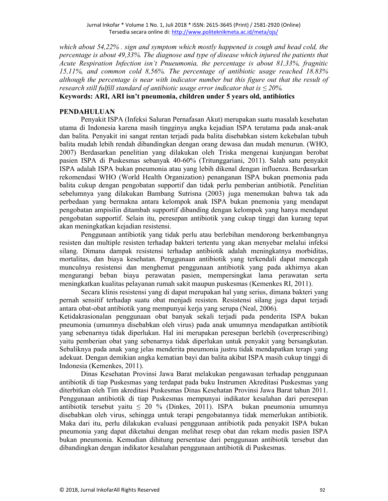which about 54,22%, sign and symptom which mostly happened is cough and head cold, the percentage is about 49,33%. The diagnose and type of disease which injured the patients that Acute Respiration Infection isn't Pnueumonia, the percentage is about 81,33%, fragnitic 15,11%, and common cold 8,56%. The percentage of antibiotic usage reached  $18.83\%$ although the percentage is near with indicator number but this figure out that the result of research still fulfill standard of antibiotic usage error indicator that is  $\leq$  20%.

# Keywords: ARI, ARI isn't pneumonia, children under 5 years old, antibiotics

#### **PENDAHULUAN**

Penyakit ISPA (Infeksi Saluran Pernafasan Akut) merupakan suatu masalah kesehatan utama di Indonesia karena masih tingginya angka kejadian ISPA terutama pada anak-anak dan balita. Penyakit ini sangat rentan terjadi pada balita disebabkan sistem kekebalan tubuh balita mudah lebih rendah dibandingkan dengan orang dewasa dan mudah menurun. (WHO, 2007) Berdasarkan penelitian yang dilakukan oleh Triska mengenai kunjungan berobat pasien ISPA di Puskesmas sebanyak 40-60% (Tritunggariani, 2011). Salah satu penyakit ISPA adalah ISPA bukan pneumonia atau yang lebih dikenal dengan influenza. Berdasarkan rekomendasi WHO (World Health Organization) penanganan ISPA bukan pnemonia pada balita cukup dengan pengobatan supportif dan tidak perlu pemberian antibiotik. Penelitian sebelumnya yang dilakukan Bambang Sutrisna (2003) juga menemukan bahwa tak ada perbedaan yang bermakna antara kelompok anak ISPA bukan pnemonia yang mendapat pengobatan ampisilin ditambah supportif dibanding dengan kelompok yang hanya mendapat pengobatan supportif. Selain itu, peresepan antibiotik yang cukup tinggi dan kurang tepat akan meningkatkan kejadian resistensi.

Penggunaan antibiotik yang tidak perlu atau berlebihan mendorong berkembangnya resisten dan multiple resisten terhadap bakteri tertentu yang akan menyebar melalui infeksi silang. Dimana dampak resistensi terhadap antibiotik adalah meningkatnya morbiditas, mortalitas, dan biaya kesehatan. Penggunaan antibiotik yang terkendali dapat mencegah munculnya resistensi dan menghemat penggunaan antibiotik yang pada akhirnya akan mengurangi beban biaya perawatan pasien, mempersingkat lama perawatan serta meningkatkan kualitas pelayanan rumah sakit maupun puskesmas (Kemenkes RI, 2011).

Secara klinis resistensi yang di dapat merupakan hal yang serius, dimana bakteri yang pernah sensitif terhadap suatu obat menjadi resisten. Resistensi silang juga dapat terjadi antara obat-obat antibiotik yang mempunyai kerja yang serupa (Neal, 2006).

Ketidakrasionalan penggunaan obat banyak sekali terjadi pada penderita ISPA bukan pneumonia (umumnya disebabkan oleh virus) pada anak umumnya mendapatkan antibiotik yang sebenarnya tidak diperlukan. Hal ini merupakan peresepan berlebih (overprescribing) yaitu pemberian obat yang sebenarnya tidak diperlukan untuk penyakit yang bersangkutan. Sebaliknya pada anak yang jelas menderita pneumonia justru tidak mendapatkan terapi yang adekuat. Dengan demikian angka kematian bayi dan balita akibat ISPA masih cukup tinggi di Indonesia (Kemenkes, 2011).

Dinas Kesehatan Provinsi Jawa Barat melakukan pengawasan terhadap penggunaan antibiotik di tiap Puskesmas yang terdapat pada buku Instrumen Akreditasi Puskesmas yang diterbitkan oleh Tim akreditasi Puskesmas Dinas Kesehatan Provinsi Jawa Barat tahun 2011. Penggunaan antibiotik di tiap Puskesmas mempunyai indikator kesalahan dari peresepan antibiotik tersebut yaitu  $\leq 20$  % (Dinkes, 2011). ISPA bukan pneumonia umumnya disebabkan oleh virus, sehingga untuk terapi pengobatannya tidak memerlukan antibiotik. Maka dari itu, perlu dilakukan evaluasi penggunaan antibiotik pada penyakit ISPA bukan pneumonia yang dapat diketahui dengan melihat resep obat dan rekam medis pasien ISPA bukan pneumonia. Kemudian dihitung persentase dari penggunaan antibiotik tersebut dan dibandingkan dengan indikator kesalahan penggunaan antibiotik di Puskesmas.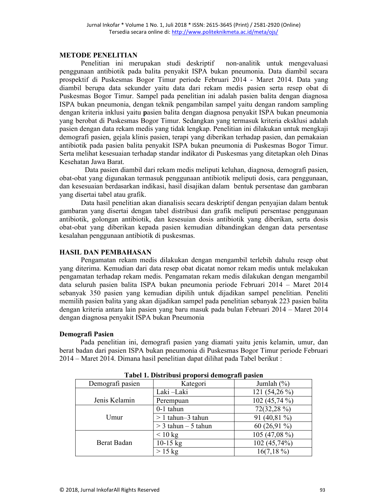#### **METODE PENELITIAN**

Penelitian ini merupakan studi deskriptif non-analitik untuk mengevaluasi penggunaan antibiotik pada balita penyakit ISPA bukan pneumonia. Data diambil secara prospektif di Puskesmas Bogor Timur periode Februari 2014 - Maret 2014. Data yang diambil berupa data sekunder yaitu data dari rekam medis pasien serta resep obat di Puskesmas Bogor Timur. Sampel pada penelitian ini adalah pasien balita dengan diagnosa ISPA bukan pneumonia, dengan teknik pengambilan sampel yaitu dengan random sampling dengan kriteria inklusi yaitu pasien balita dengan diagnosa penyakit ISPA bukan pneumonia yang berobat di Puskesmas Bogor Timur. Sedangkan yang termasuk kriteria eksklusi adalah pasien dengan data rekam medis yang tidak lengkap. Penelitian ini dilakukan untuk mengkaji demografi pasien, gejala klinis pasien, terapi yang diberikan terhadap pasien, dan pemakaian antibiotik pada pasien balita penyakit ISPA bukan pneumonia di Puskesmas Bogor Timur. Serta melihat kesesuaian terhadap standar indikator di Puskesmas yang ditetapkan oleh Dinas Kesehatan Jawa Barat.

Data pasien diambil dari rekam medis meliputi keluhan, diagnosa, demografi pasien, obat-obat yang digunakan termasuk penggunaan antibiotik meliputi dosis, cara penggunaan, dan kesesuaian berdasarkan indikasi, hasil disajikan dalam bentuk persentase dan gambaran yang disertai tabel atau grafik.

Data hasil penelitian akan dianalisis secara deskriptif dengan penyajian dalam bentuk gambaran yang disertai dengan tabel distribusi dan grafik meliputi persentase penggunaan antibiotik, golongan antibiotik, dan kesesuian dosis antibiotik yang diberikan, serta dosis obat-obat yang diberikan kepada pasien kemudian dibandingkan dengan data persentase kesalahan penggunaan antibiotik di puskesmas.

# **HASIL DAN PEMBAHASAN**

Pengamatan rekam medis dilakukan dengan mengambil terlebih dahulu resep obat yang diterima. Kemudian dari data resep obat dicatat nomor rekam medis untuk melakukan pengamatan terhadap rekam medis. Pengamatan rekam medis dilakukan dengan mengambil data seluruh pasien balita ISPA bukan pneumonia periode Februari 2014 – Maret 2014 sebanyak 350 pasien yang kemudian dipilih untuk dijadikan sampel penelitian. Peneliti memilih pasien balita yang akan dijadikan sampel pada penelitian sebanyak 223 pasien balita dengan kriteria antara lain pasien yang baru masuk pada bulan Februari 2014 - Maret 2014 dengan diagnosa penyakit ISPA bukan Pneumonia

# Demografi Pasien

Pada penelitian ini, demografi pasien yang diamati yaitu jenis kelamin, umur, dan berat badan dari pasien ISPA bukan pneumonia di Puskesmas Bogor Timur periode Februari 2014 – Maret 2014. Dimana hasil penelitian dapat dilihat pada Tabel berikut:

| Tuber 1: Distribusi proporsi uemografi pusien |                         |                 |
|-----------------------------------------------|-------------------------|-----------------|
| Demografi pasien                              | Kategori                | Jumlah $(\% )$  |
|                                               | Laki -Laki              | 121 $(54,26\%)$ |
| Jenis Kelamin                                 | Perempuan               | 102 (45,74 %)   |
| Umur                                          | $0-1$ tahun             | 72(32,28 %)     |
|                                               | $> 1$ tahun-3 tahun     | 91 $(40,81\%)$  |
|                                               | $>$ 3 tahun $-$ 5 tahun | 60 $(26,91\%)$  |
| Berat Badan                                   | $< 10 \text{ kg}$       | 105 (47,08 %)   |
|                                               | $10-15$ kg              | 102 (45,74%)    |
|                                               | $>15$ kg                | $16(7,18\%)$    |

Tabel 1. Distribusi proporsi demografi pasien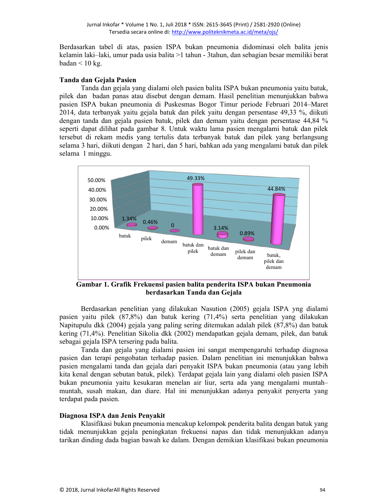Berdasarkan tabel di atas, pasien ISPA bukan pneumonia didominasi oleh balita jenis kelamin laki-laki, umur pada usia balita >1 tahun - 3tahun, dan sebagian besar memiliki berat badan  $\leq 10$  kg.

#### Tanda dan Gejala Pasien

Tanda dan gejala yang dialami oleh pasien balita ISPA bukan pneumonia yaitu batuk, pilek dan badan panas atau disebut dengan demam. Hasil penelitian menunjukkan bahwa pasien ISPA bukan pneumonia di Puskesmas Bogor Timur periode Februari 2014–Maret 2014, data terbanyak yaitu gejala batuk dan pilek yaitu dengan persentase 49,33 %, diikuti dengan tanda dan gejala pasien batuk, pilek dan demam yaitu dengan persentase 44,84 % seperti dapat dilihat pada gambar 8. Untuk waktu lama pasien mengalami batuk dan pilek tersebut di rekam medis yang tertulis data terbanyak batuk dan pilek yang berlangsung selama 3 hari, diikuti dengan 2 hari, dan 5 hari, bahkan ada yang mengalami batuk dan pilek selama 1 minggu.



Gambar 1. Grafik Frekuensi pasien balita penderita ISPA bukan Pneumonia berdasarkan Tanda dan Gejala

Berdasarkan penelitian yang dilakukan Nasution (2005) gejala ISPA yng dialami pasien yaitu pilek (87,8%) dan batuk kering (71,4%) serta penelitian yang dilakukan Napitupulu dkk (2004) gejala yang paling sering ditemukan adalah pilek (87,8%) dan batuk kering (71,4%). Penelitian Sikolia dkk (2002) mendapatkan gejala demam, pilek, dan batuk sebagai gejala ISPA tersering pada balita.

Tanda dan gejala yang dialami pasien ini sangat mempengaruhi terhadap diagnosa pasien dan terapi pengobatan terhadap pasien. Dalam penelitian ini menunjukkan bahwa pasien mengalami tanda dan gejala dari penyakit ISPA bukan pneumonia (atau yang lebih kita kenal dengan sebutan batuk, pilek). Terdapat gejala lain yang dialami oleh pasien ISPA bukan pneumonia yaitu kesukaran menelan air liur, serta ada yang mengalami muntahmuntah, susah makan, dan diare. Hal ini menunjukkan adanya penyakit penyerta yang terdapat pada pasien.

#### Diagnosa ISPA dan Jenis Penvakit

Klasifikasi bukan pneumonia mencakup kelompok penderita balita dengan batuk yang tidak menunjukkan gejala peningkatan frekuensi napas dan tidak menunjukkan adanya tarikan dinding dada bagian bawah ke dalam. Dengan demikian klasifikasi bukan pneumonia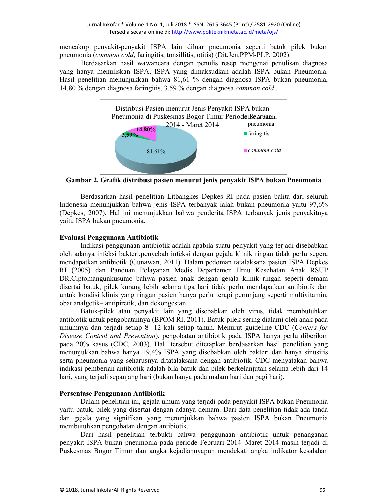mencakup penyakit-penyakit ISPA lain diluar pneumonia seperti batuk pilek bukan pneumonia (common cold, faringitis, tonsillitis, otitis) (Dit.Jen.PPM-PLP, 2002).

Berdasarkan hasil wawancara dengan penulis resep mengenai penulisan diagnosa yang hanya menuliskan ISPA, ISPA yang dimaksudkan adalah ISPA bukan Pneumonia. Hasil penelitian menunjukkan bahwa 81,61 % dengan diagnosa ISPA bukan pneumonia, 14.80 % dengan diagnosa faringitis, 3.59 % dengan diagnosa *common cold*.



Gambar 2. Grafik distribusi pasien menurut jenis penyakit ISPA bukan Pneumonia

Berdasarkan hasil penelitian Litbangkes Depkes RI pada pasien balita dari seluruh Indonesia menunjukkan bahwa jenis ISPA terbanyak ialah bukan pneumonia yaitu 97,6% (Depkes, 2007). Hal ini menunjukkan bahwa penderita ISPA terbanyak jenis penyakitnya yaitu ISPA bukan pneumonia.

# Evaluasi Penggunaan Antibiotik

Indikasi penggunaan antibiotik adalah apabila suatu penyakit yang terjadi disebabkan oleh adanya infeksi bakteri, penyebab infeksi dengan gejala klinik ringan tidak perlu segera mendapatkan antibiotik (Gunawan, 2011). Dalam pedoman tatalaksana pasien ISPA Depkes RI (2005) dan Panduan Pelayanan Medis Departemen Ilmu Kesehatan Anak RSUP DR.Ciptomangunkusumo bahwa pasien anak dengan gejala klinik ringan seperti demam disertai batuk, pilek kurang lebih selama tiga hari tidak perlu mendapatkan antibiotik dan untuk kondisi klinis yang ringan pasien hanya perlu terapi penunjang seperti multivitamin, obat analgetik-antipiretik, dan dekongestan.

Batuk-pilek atau penyakit lain yang disebabkan oleh virus, tidak membutuhkan antibiotik untuk pengobatannya (BPOM RI, 2011). Batuk-pilek sering dialami oleh anak pada umumnya dan terjadi setiap 8 -12 kali setiap tahun. Menurut guideline CDC (Centers for Disease Control and Prevention), pengobatan antibiotik pada ISPA hanya perlu diberikan pada 20% kasus (CDC, 2003). Hal tersebut ditetapkan berdasarkan hasil penelitian yang menunjukkan bahwa hanya 19,4% ISPA yang disebabkan oleh bakteri dan hanya sinusitis serta pneumonia yang seharusnya ditatalaksana dengan antibiotik. CDC menyatakan bahwa indikasi pemberian antibiotik adalah bila batuk dan pilek berkelanjutan selama lebih dari 14 hari, yang terjadi sepanjang hari (bukan hanya pada malam hari dan pagi hari).

# Persentase Penggunaan Antibiotik

Dalam penelitian ini, gejala umum yang terjadi pada penyakit ISPA bukan Pneumonia yaitu batuk, pilek yang disertai dengan adanya demam. Dari data penelitian tidak ada tanda dan gejala yang signifikan yang menunjukkan bahwa pasien ISPA bukan Pneumonia membutuhkan pengobatan dengan antibiotik.

Dari hasil penelitian terbukti bahwa penggunaan antibiotik untuk penanganan penyakit ISPA bukan pneumonia pada periode Februari 2014–Maret 2014 masih terjadi di Puskesmas Bogor Timur dan angka kejadiannyapun mendekati angka indikator kesalahan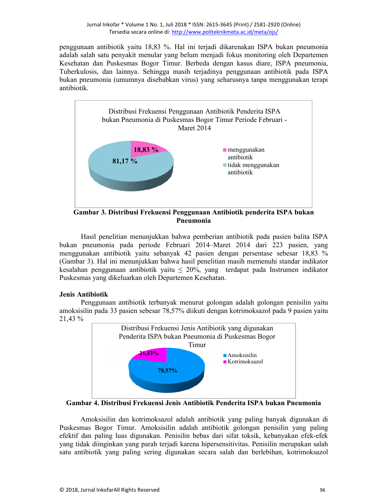penggunaan antibiotik yaitu 18,83 %. Hal ini terjadi dikarenakan ISPA bukan pneumonia adalah salah satu penyakit menular yang belum menjadi fokus monitoring oleh Departemen Kesehatan dan Puskesmas Bogor Timur. Berbeda dengan kasus diare, ISPA pneumonia, Tuberkulosis, dan lainnya. Sehingga masih terjadinya penggunaan antibiotik pada ISPA bukan pneumonia (umumnya disebabkan virus) yang seharusnya tanpa menggunakan terapi antibiotik.



Gambar 3. Distribusi Frekuensi Penggunaan Antibiotik penderita ISPA bukan Pneumonia

Hasil penelitian menunjukkan bahwa pemberian antibiotik pada pasien balita ISPA bukan pneumonia pada periode Februari 2014–Maret 2014 dari 223 pasien, yang menggunakan antibiotik yaitu sebanyak 42 pasien dengan persentase sebesar 18,83 % (Gambar 3). Hal ini menunjukkan bahwa hasil penelitian masih memenuhi standar indikator kesalahan penggunaan antibiotik yaitu  $\leq$  20%, yang terdapat pada Instrumen indikator Puskesmas yang dikeluarkan oleh Departemen Kesehatan.

# **Jenis Antibiotik**

Penggunaan antibiotik terbanyak menurut golongan adalah golongan penisilin yaitu amoksisilin pada 33 pasien sebesar 78,57% diikuti dengan kotrimoksazol pada 9 pasien yaitu 21,43 %



Gambar 4. Distribusi Frekuensi Jenis Antibiotik Penderita ISPA bukan Pneumonia

Amoksisilin dan kotrimoksazol adalah antibiotik yang paling banyak digunakan di Puskesmas Bogor Timur. Amoksisilin adalah antibiotik golongan penisilin yang paling efektif dan paling luas digunakan. Penisilin bebas dari sifat toksik, kebanyakan efek-efek yang tidak diinginkan yang parah terjadi karena hipersensitivitas. Penisilin merupakan salah satu antibiotik yang paling sering digunakan secara salah dan berlebihan, kotrimoksazol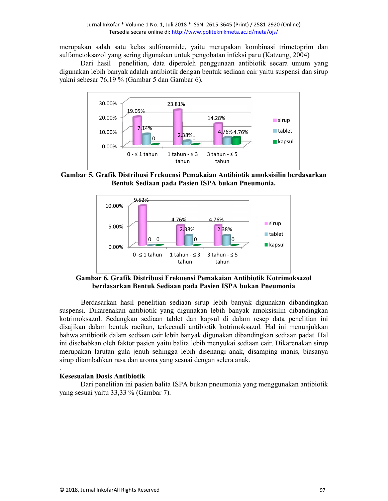merupakan salah satu kelas sulfonamide, yaitu merupakan kombinasi trimetoprim dan sulfametoksazol yang sering digunakan untuk pengobatan infeksi paru (Katzung, 2004)

Dari hasil penelitian, data diperoleh penggunaan antibiotik secara umum yang digunakan lebih banyak adalah antibiotik dengan bentuk sediaan cair yaitu suspensi dan sirup yakni sebesar 76,19 % (Gambar 5 dan Gambar 6).



Gambar 5. Grafik Distribusi Frekuensi Pemakaian Antibiotik amoksisilin berdasarkan Bentuk Sediaan pada Pasien ISPA bukan Pneumonia.



Gambar 6. Grafik Distribusi Frekuensi Pemakaian Antibiotik Kotrimoksazol berdasarkan Bentuk Sediaan pada Pasien ISPA bukan Pneumonia

Berdasarkan hasil penelitian sediaan sirup lebih banyak digunakan dibandingkan suspensi. Dikarenakan antibiotik yang digunakan lebih banyak amoksisilin dibandingkan kotrimoksazol. Sedangkan sediaan tablet dan kapsul di dalam resep data penelitian ini disajikan dalam bentuk racikan, terkecuali antibiotik kotrimoksazol. Hal ini menunjukkan bahwa antibiotik dalam sediaan cair lebih banyak digunakan dibandingkan sediaan padat. Hal ini disebabkan oleh faktor pasien yaitu balita lebih menyukai sediaan cair. Dikarenakan sirup merupakan larutan gula jenuh sehingga lebih disenangi anak, disamping manis, biasanya sirup ditambahkan rasa dan aroma yang sesuai dengan selera anak.

# **Kesesuaian Dosis Antibiotik**

Dari penelitian ini pasien balita ISPA bukan pneumonia yang menggunakan antibiotik yang sesuai yaitu 33,33 % (Gambar 7).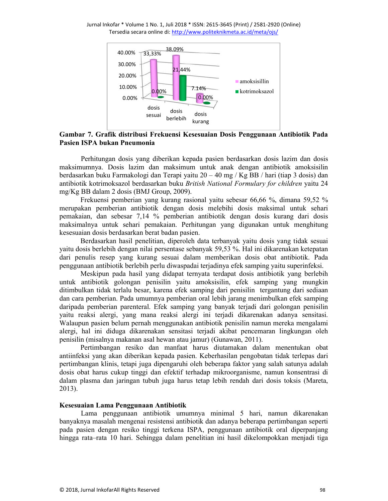Jurnal Inkofar \* Volume 1 No. 1, Juli 2018 \* ISSN: 2615-3645 (Print) / 2581-2920 (Online) Tersedia secara online di: http://www.politeknikmeta.ac.id/meta/ojs/



# Gambar 7. Grafik distribusi Frekuensi Kesesuaian Dosis Penggunaan Antibiotik Pada Pasien ISPA bukan Pneumonia

Perhitungan dosis yang diberikan kepada pasien berdasarkan dosis lazim dan dosis maksimumnya. Dosis lazim dan maksimum untuk anak dengan antibiotik amoksisilin berdasarkan buku Farmakologi dan Terapi yaitu 20 – 40 mg / Kg BB / hari (tiap 3 dosis) dan antibiotik kotrimoksazol berdasarkan buku British National Formulary for children yaitu 24 mg/Kg BB dalam 2 dosis (BMJ Group, 2009).

Frekuensi pemberian yang kurang rasional yaitu sebesar 66.66 %, dimana 59.52 % merupakan pemberian antibiotik dengan dosis melebihi dosis maksimal untuk sehari pemakaian, dan sebesar 7,14 % pemberian antibiotik dengan dosis kurang dari dosis maksimalnya untuk sehari pemakaian. Perhitungan yang digunakan untuk menghitung kesesuaian dosis berdasarkan berat badan pasien.

Berdasarkan hasil penelitian, diperoleh data terbanyak yaitu dosis yang tidak sesuai yaitu dosis berlebih dengan nilai persentase sebanyak 59,53 %. Hal ini dikarenakan ketepatan dari penulis resep yang kurang sesuai dalam memberikan dosis obat antibiotik. Pada penggunaan antibiotik berlebih perlu diwaspadai terjadinya efek samping yaitu superinfeksi.

Meskipun pada hasil yang didapat ternyata terdapat dosis antibiotik yang berlebih untuk antibiotik golongan penisilin yaitu amoksisilin, efek samping yang mungkin ditimbulkan tidak terlalu besar, karena efek samping dari penisilin tergantung dari sediaan dan cara pemberian. Pada umumnya pemberian oral lebih jarang menimbulkan efek samping daripada pemberian parenteral. Efek samping yang banyak terjadi dari golongan penisilin yaitu reaksi alergi, yang mana reaksi alergi ini terjadi dikarenakan adanya sensitasi. Walaupun pasien belum pernah menggunakan antibiotik penisilin namun mereka mengalami alergi, hal ini diduga dikarenakan sensitasi terjadi akibat pencemaran lingkungan oleh penisilin (misalnya makanan asal hewan atau jamur) (Gunawan, 2011).

Pertimbangan resiko dan manfaat harus diutamakan dalam menentukan obat antiinfeksi yang akan diberikan kepada pasien. Keberhasilan pengobatan tidak terlepas dari pertimbangan klinis, tetapi juga dipengaruhi oleh beberapa faktor yang salah satunya adalah dosis obat harus cukup tinggi dan efektif terhadap mikroorganisme, namun konsentrasi di dalam plasma dan jaringan tubuh juga harus tetap lebih rendah dari dosis toksis (Mareta,  $2013$ ).

## Kesesuaian Lama Penggunaan Antibiotik

Lama penggunaan antibiotik umumnya minimal 5 hari, namun dikarenakan banyaknya masalah mengenai resistensi antibiotik dan adanya beberapa pertimbangan seperti pada pasien dengan resiko tinggi terkena ISPA, penggunaan antibiotik oral diperpanjang hingga rata-rata 10 hari. Sehingga dalam penelitian ini hasil dikelompokkan menjadi tiga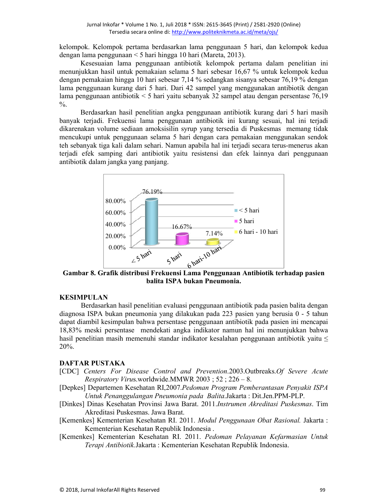kelompok. Kelompok pertama berdasarkan lama penggunaan 5 hari, dan kelompok kedua dengan lama penggunaan < 5 hari hingga 10 hari (Mareta, 2013).

Kesesuaian lama penggunaan antibiotik kelompok pertama dalam penelitian ini menunjukkan hasil untuk pemakaian selama 5 hari sebesar 16,67 % untuk kelompok kedua dengan pemakaian hingga 10 hari sebesar 7,14 % sedangkan sisanya sebesar 76,19 % dengan lama penggunaan kurang dari 5 hari. Dari 42 sampel yang menggunakan antibiotik dengan lama penggunaan antibiotik  $\leq 5$  hari yaitu sebanyak 32 sampel atau dengan persentase 76,19  $\frac{0}{0}$ .

Berdasarkan hasil penelitian angka penggunaan antibiotik kurang dari 5 hari masih banyak terjadi. Frekuensi lama penggunaan antibiotik ini kurang sesuai, hal ini terjadi dikarenakan volume sediaan amoksisilin syrup yang tersedia di Puskesmas memang tidak mencukupi untuk penggunaan selama 5 hari dengan cara pemakaian menggunakan sendok teh sebanyak tiga kali dalam sehari. Namun apabila hal ini terjadi secara terus-menerus akan terjadi efek samping dari antibiotik yaitu resistensi dan efek lainnya dari penggunaan antibiotik dalam jangka yang panjang.



Gambar 8. Grafik distribusi Frekuensi Lama Penggunaan Antibiotik terhadap pasien balita ISPA bukan Pneumonia.

# **KESIMPULAN**

Berdasarkan hasil penelitian evaluasi penggunaan antibiotik pada pasien balita dengan diagnosa ISPA bukan pneumonia yang dilakukan pada 223 pasien yang berusia 0 - 5 tahun dapat diambil kesimpulan bahwa persentase penggunaan antibiotik pada pasien ini mencapai 18,83% meski persentase mendekati angka indikator namun hal ini menunjukkan bahwa hasil penelitian masih memenuhi standar indikator kesalahan penggunaan antibiotik yaitu  $\leq$  $20%$ .

# **DAFTAR PUSTAKA**

- [CDC] Centers For Disease Control and Prevention.2003.Outbreaks.Of Severe Acute *Respiratory Virus.worldwide.MMWR 2003*;  $52$ ;  $226 - 8$ .
- [Depkes] Departemen Kesehatan RI,2007.Pedoman Program Pemberantasan Penyakit ISPA Untuk Penanggulangan Pneumonia pada Balita.Jakarta: Dit.Jen.PPM-PLP.
- [Dinkes] Dinas Kesehatan Provinsi Jawa Barat. 2011.Instrumen Akreditasi Puskesmas. Tim Akreditasi Puskesmas. Jawa Barat.
- [Kemenkes] Kementerian Kesehatan RI. 2011. Modul Penggunaan Obat Rasional. Jakarta: Kementerian Kesehatan Republik Indonesia.
- [Kemenkes] Kementerian Kesehatan RI. 2011. Pedoman Pelayanan Kefarmasian Untuk Terapi Antibiotik. Jakarta: Kementerian Kesehatan Republik Indonesia.